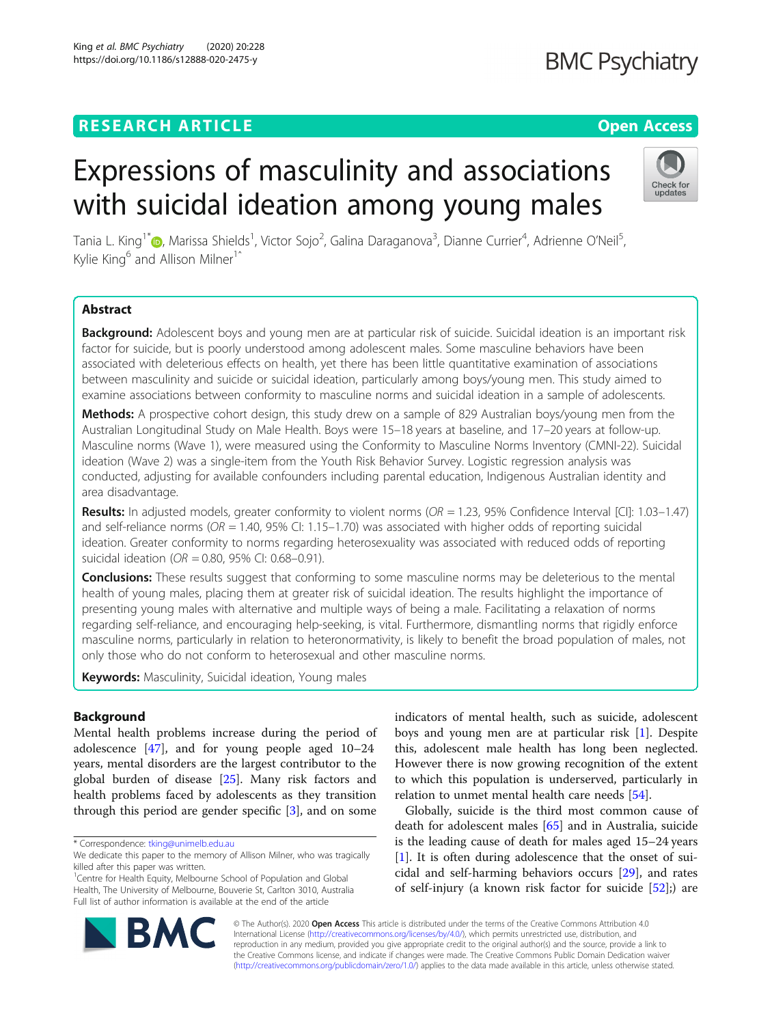# **RESEARCH ARTICLE Example 2014 CONSIDERING A RESEARCH ARTICLE**

# Expressions of masculinity and associations with suicidal ideation among young males

Tania L. King<sup>1\*</sup>®, Marissa Shields<sup>1</sup>, Victor Sojo<sup>2</sup>, Galina Daraganova<sup>3</sup>, Dianne Currier<sup>4</sup>, Adrienne O'Neil<sup>5</sup> , Kylie King<sup>6</sup> and Allison Milner<sup>1</sup>

# Abstract

Background: Adolescent boys and young men are at particular risk of suicide. Suicidal ideation is an important risk factor for suicide, but is poorly understood among adolescent males. Some masculine behaviors have been associated with deleterious effects on health, yet there has been little quantitative examination of associations between masculinity and suicide or suicidal ideation, particularly among boys/young men. This study aimed to examine associations between conformity to masculine norms and suicidal ideation in a sample of adolescents.

Methods: A prospective cohort design, this study drew on a sample of 829 Australian boys/young men from the Australian Longitudinal Study on Male Health. Boys were 15–18 years at baseline, and 17–20 years at follow-up. Masculine norms (Wave 1), were measured using the Conformity to Masculine Norms Inventory (CMNI-22). Suicidal ideation (Wave 2) was a single-item from the Youth Risk Behavior Survey. Logistic regression analysis was conducted, adjusting for available confounders including parental education, Indigenous Australian identity and area disadvantage.

Results: In adjusted models, greater conformity to violent norms ( $OR = 1.23$ , 95% Confidence Interval [CI]: 1.03–1.47) and self-reliance norms ( $OR = 1.40$ ,  $95\%$  CI: 1.15–1.70) was associated with higher odds of reporting suicidal ideation. Greater conformity to norms regarding heterosexuality was associated with reduced odds of reporting suicidal ideation ( $OR = 0.80$ , 95% CI: 0.68-0.91).

**Conclusions:** These results suggest that conforming to some masculine norms may be deleterious to the mental health of young males, placing them at greater risk of suicidal ideation. The results highlight the importance of presenting young males with alternative and multiple ways of being a male. Facilitating a relaxation of norms regarding self-reliance, and encouraging help-seeking, is vital. Furthermore, dismantling norms that rigidly enforce masculine norms, particularly in relation to heteronormativity, is likely to benefit the broad population of males, not only those who do not conform to heterosexual and other masculine norms.

Keywords: Masculinity, Suicidal ideation, Young males

## Background

Mental health problems increase during the period of adolescence [\[47](#page-9-0)], and for young people aged 10–24 years, mental disorders are the largest contributor to the global burden of disease [\[25](#page-8-0)]. Many risk factors and health problems faced by adolescents as they transition through this period are gender specific [\[3](#page-8-0)], and on some

\* Correspondence: [tking@unimelb.edu.au](mailto:tking@unimelb.edu.au)

<sup>1</sup> Centre for Health Equity, Melbourne School of Population and Global Health, The University of Melbourne, Bouverie St, Carlton 3010, Australia Full list of author information is available at the end of the article

indicators of mental health, such as suicide, adolescent boys and young men are at particular risk [\[1](#page-8-0)]. Despite this, adolescent male health has long been neglected. However there is now growing recognition of the extent to which this population is underserved, particularly in relation to unmet mental health care needs [[54\]](#page-9-0).

Globally, suicide is the third most common cause of death for adolescent males [[65\]](#page-9-0) and in Australia, suicide is the leading cause of death for males aged 15–24 years [[1\]](#page-8-0). It is often during adolescence that the onset of suicidal and self-harming behaviors occurs [\[29](#page-8-0)], and rates of self-injury (a known risk factor for suicide [[52](#page-9-0)];) are

© The Author(s). 2020 **Open Access** This article is distributed under the terms of the Creative Commons Attribution 4.0 International License [\(http://creativecommons.org/licenses/by/4.0/](http://creativecommons.org/licenses/by/4.0/)), which permits unrestricted use, distribution, and reproduction in any medium, provided you give appropriate credit to the original author(s) and the source, provide a link to the Creative Commons license, and indicate if changes were made. The Creative Commons Public Domain Dedication waiver [\(http://creativecommons.org/publicdomain/zero/1.0/](http://creativecommons.org/publicdomain/zero/1.0/)) applies to the data made available in this article, unless otherwise stated.







We dedicate this paper to the memory of Allison Milner, who was tragically killed after this paper was written.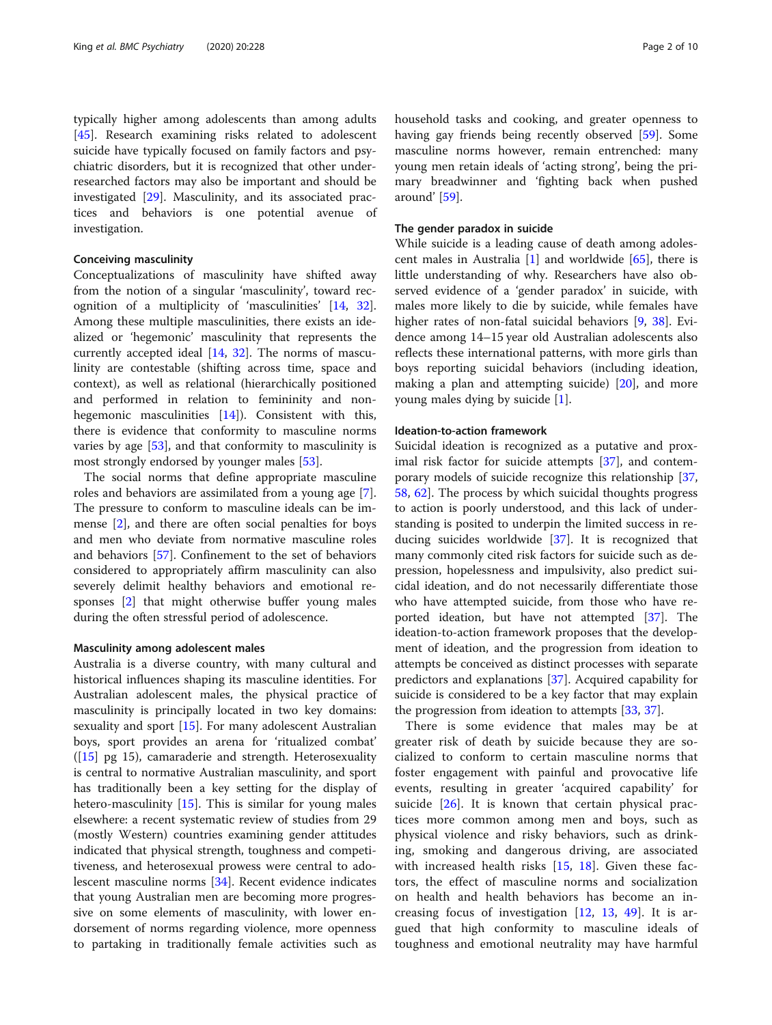typically higher among adolescents than among adults [[45\]](#page-9-0). Research examining risks related to adolescent suicide have typically focused on family factors and psychiatric disorders, but it is recognized that other underresearched factors may also be important and should be investigated [\[29](#page-8-0)]. Masculinity, and its associated practices and behaviors is one potential avenue of investigation.

### Conceiving masculinity

Conceptualizations of masculinity have shifted away from the notion of a singular 'masculinity', toward recognition of a multiplicity of 'masculinities' [[14,](#page-8-0) [32](#page-8-0)]. Among these multiple masculinities, there exists an idealized or 'hegemonic' masculinity that represents the currently accepted ideal [[14](#page-8-0), [32](#page-8-0)]. The norms of masculinity are contestable (shifting across time, space and context), as well as relational (hierarchically positioned and performed in relation to femininity and nonhegemonic masculinities  $[14]$  $[14]$ ). Consistent with this, there is evidence that conformity to masculine norms varies by age [[53\]](#page-9-0), and that conformity to masculinity is most strongly endorsed by younger males [[53](#page-9-0)].

The social norms that define appropriate masculine roles and behaviors are assimilated from a young age [\[7](#page-8-0)]. The pressure to conform to masculine ideals can be immense [\[2\]](#page-8-0), and there are often social penalties for boys and men who deviate from normative masculine roles and behaviors [[57\]](#page-9-0). Confinement to the set of behaviors considered to appropriately affirm masculinity can also severely delimit healthy behaviors and emotional responses [[2\]](#page-8-0) that might otherwise buffer young males during the often stressful period of adolescence.

#### Masculinity among adolescent males

Australia is a diverse country, with many cultural and historical influences shaping its masculine identities. For Australian adolescent males, the physical practice of masculinity is principally located in two key domains: sexuality and sport [[15\]](#page-8-0). For many adolescent Australian boys, sport provides an arena for 'ritualized combat' ([\[15\]](#page-8-0) pg 15), camaraderie and strength. Heterosexuality is central to normative Australian masculinity, and sport has traditionally been a key setting for the display of hetero-masculinity [\[15\]](#page-8-0). This is similar for young males elsewhere: a recent systematic review of studies from 29 (mostly Western) countries examining gender attitudes indicated that physical strength, toughness and competitiveness, and heterosexual prowess were central to adolescent masculine norms [[34\]](#page-9-0). Recent evidence indicates that young Australian men are becoming more progressive on some elements of masculinity, with lower endorsement of norms regarding violence, more openness to partaking in traditionally female activities such as household tasks and cooking, and greater openness to having gay friends being recently observed [[59\]](#page-9-0). Some masculine norms however, remain entrenched: many young men retain ideals of 'acting strong', being the primary breadwinner and 'fighting back when pushed around' [[59\]](#page-9-0).

#### The gender paradox in suicide

While suicide is a leading cause of death among adolescent males in Australia [[1](#page-8-0)] and worldwide [[65](#page-9-0)], there is little understanding of why. Researchers have also observed evidence of a 'gender paradox' in suicide, with males more likely to die by suicide, while females have higher rates of non-fatal suicidal behaviors [\[9](#page-8-0), [38](#page-9-0)]. Evidence among 14–15 year old Australian adolescents also reflects these international patterns, with more girls than boys reporting suicidal behaviors (including ideation, making a plan and attempting suicide)  $[20]$  $[20]$ , and more young males dying by suicide [[1\]](#page-8-0).

#### Ideation-to-action framework

Suicidal ideation is recognized as a putative and proximal risk factor for suicide attempts [[37](#page-9-0)], and contemporary models of suicide recognize this relationship [[37](#page-9-0), [58,](#page-9-0) [62\]](#page-9-0). The process by which suicidal thoughts progress to action is poorly understood, and this lack of understanding is posited to underpin the limited success in reducing suicides worldwide [\[37](#page-9-0)]. It is recognized that many commonly cited risk factors for suicide such as depression, hopelessness and impulsivity, also predict suicidal ideation, and do not necessarily differentiate those who have attempted suicide, from those who have reported ideation, but have not attempted [[37\]](#page-9-0). The ideation-to-action framework proposes that the development of ideation, and the progression from ideation to attempts be conceived as distinct processes with separate predictors and explanations [\[37](#page-9-0)]. Acquired capability for suicide is considered to be a key factor that may explain the progression from ideation to attempts [\[33](#page-9-0), [37](#page-9-0)].

There is some evidence that males may be at greater risk of death by suicide because they are socialized to conform to certain masculine norms that foster engagement with painful and provocative life events, resulting in greater 'acquired capability' for suicide [\[26](#page-8-0)]. It is known that certain physical practices more common among men and boys, such as physical violence and risky behaviors, such as drinking, smoking and dangerous driving, are associated with increased health risks [[15,](#page-8-0) [18\]](#page-8-0). Given these factors, the effect of masculine norms and socialization on health and health behaviors has become an increasing focus of investigation [[12,](#page-8-0) [13](#page-8-0), [49\]](#page-9-0). It is argued that high conformity to masculine ideals of toughness and emotional neutrality may have harmful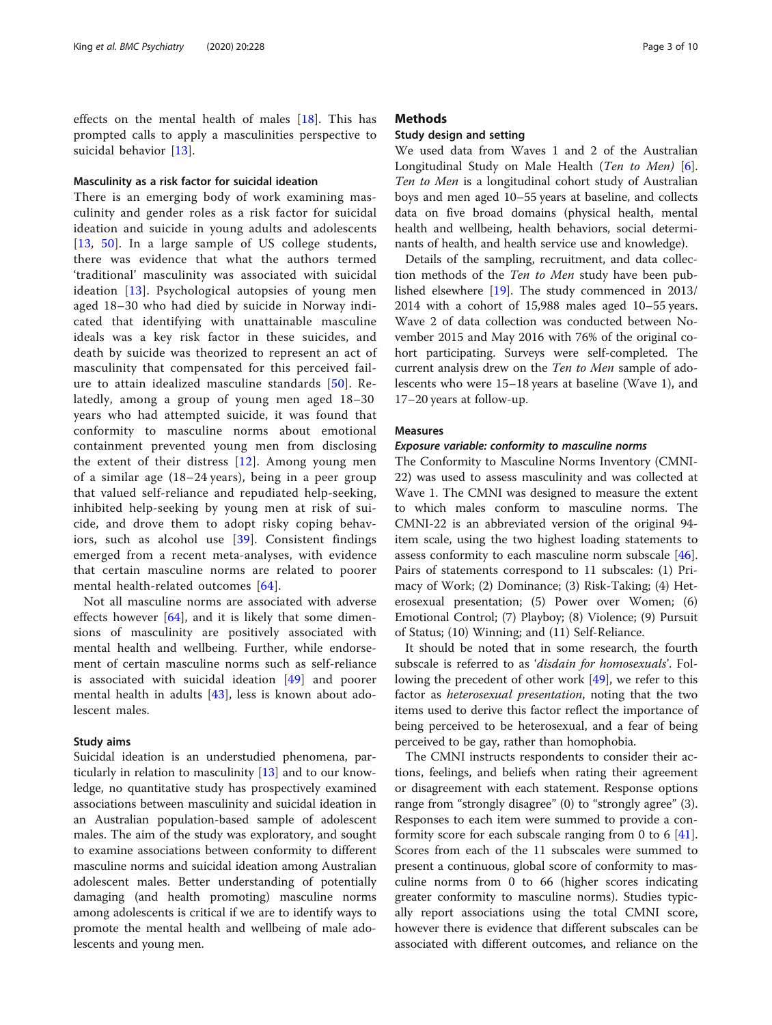effects on the mental health of males [[18\]](#page-8-0). This has prompted calls to apply a masculinities perspective to suicidal behavior [[13](#page-8-0)].

#### Masculinity as a risk factor for suicidal ideation

There is an emerging body of work examining masculinity and gender roles as a risk factor for suicidal ideation and suicide in young adults and adolescents [[13](#page-8-0), [50](#page-9-0)]. In a large sample of US college students, there was evidence that what the authors termed 'traditional' masculinity was associated with suicidal ideation [[13\]](#page-8-0). Psychological autopsies of young men aged 18–30 who had died by suicide in Norway indicated that identifying with unattainable masculine ideals was a key risk factor in these suicides, and death by suicide was theorized to represent an act of masculinity that compensated for this perceived failure to attain idealized masculine standards [[50\]](#page-9-0). Relatedly, among a group of young men aged 18–30 years who had attempted suicide, it was found that conformity to masculine norms about emotional containment prevented young men from disclosing the extent of their distress [[12\]](#page-8-0). Among young men of a similar age (18–24 years), being in a peer group that valued self-reliance and repudiated help-seeking, inhibited help-seeking by young men at risk of suicide, and drove them to adopt risky coping behaviors, such as alcohol use [[39](#page-9-0)]. Consistent findings emerged from a recent meta-analyses, with evidence that certain masculine norms are related to poorer mental health-related outcomes [\[64](#page-9-0)].

Not all masculine norms are associated with adverse effects however [\[64](#page-9-0)], and it is likely that some dimensions of masculinity are positively associated with mental health and wellbeing. Further, while endorsement of certain masculine norms such as self-reliance is associated with suicidal ideation [\[49](#page-9-0)] and poorer mental health in adults [\[43](#page-9-0)], less is known about adolescent males.

#### Study aims

Suicidal ideation is an understudied phenomena, particularly in relation to masculinity [\[13](#page-8-0)] and to our knowledge, no quantitative study has prospectively examined associations between masculinity and suicidal ideation in an Australian population-based sample of adolescent males. The aim of the study was exploratory, and sought to examine associations between conformity to different masculine norms and suicidal ideation among Australian adolescent males. Better understanding of potentially damaging (and health promoting) masculine norms among adolescents is critical if we are to identify ways to promote the mental health and wellbeing of male adolescents and young men.

#### **Methods**

#### Study design and setting

We used data from Waves 1 and 2 of the Australian Longitudinal Study on Male Health (*Ten to Men*) [\[6](#page-8-0)]. Ten to Men is a longitudinal cohort study of Australian boys and men aged 10–55 years at baseline, and collects data on five broad domains (physical health, mental health and wellbeing, health behaviors, social determinants of health, and health service use and knowledge).

Details of the sampling, recruitment, and data collection methods of the Ten to Men study have been published elsewhere [[19\]](#page-8-0). The study commenced in 2013/ 2014 with a cohort of 15,988 males aged 10–55 years. Wave 2 of data collection was conducted between November 2015 and May 2016 with 76% of the original cohort participating. Surveys were self-completed. The current analysis drew on the Ten to Men sample of adolescents who were 15–18 years at baseline (Wave 1), and 17–20 years at follow-up.

#### Measures

#### Exposure variable: conformity to masculine norms

The Conformity to Masculine Norms Inventory (CMNI-22) was used to assess masculinity and was collected at Wave 1. The CMNI was designed to measure the extent to which males conform to masculine norms. The CMNI-22 is an abbreviated version of the original 94 item scale, using the two highest loading statements to assess conformity to each masculine norm subscale [\[46](#page-9-0)]. Pairs of statements correspond to 11 subscales: (1) Primacy of Work; (2) Dominance; (3) Risk-Taking; (4) Heterosexual presentation; (5) Power over Women; (6) Emotional Control; (7) Playboy; (8) Violence; (9) Pursuit of Status; (10) Winning; and (11) Self-Reliance.

It should be noted that in some research, the fourth subscale is referred to as 'disdain for homosexuals'. Following the precedent of other work [\[49](#page-9-0)], we refer to this factor as heterosexual presentation, noting that the two items used to derive this factor reflect the importance of being perceived to be heterosexual, and a fear of being perceived to be gay, rather than homophobia.

The CMNI instructs respondents to consider their actions, feelings, and beliefs when rating their agreement or disagreement with each statement. Response options range from "strongly disagree" (0) to "strongly agree" (3). Responses to each item were summed to provide a conformity score for each subscale ranging from 0 to 6  $[41]$  $[41]$ . Scores from each of the 11 subscales were summed to present a continuous, global score of conformity to masculine norms from 0 to 66 (higher scores indicating greater conformity to masculine norms). Studies typically report associations using the total CMNI score, however there is evidence that different subscales can be associated with different outcomes, and reliance on the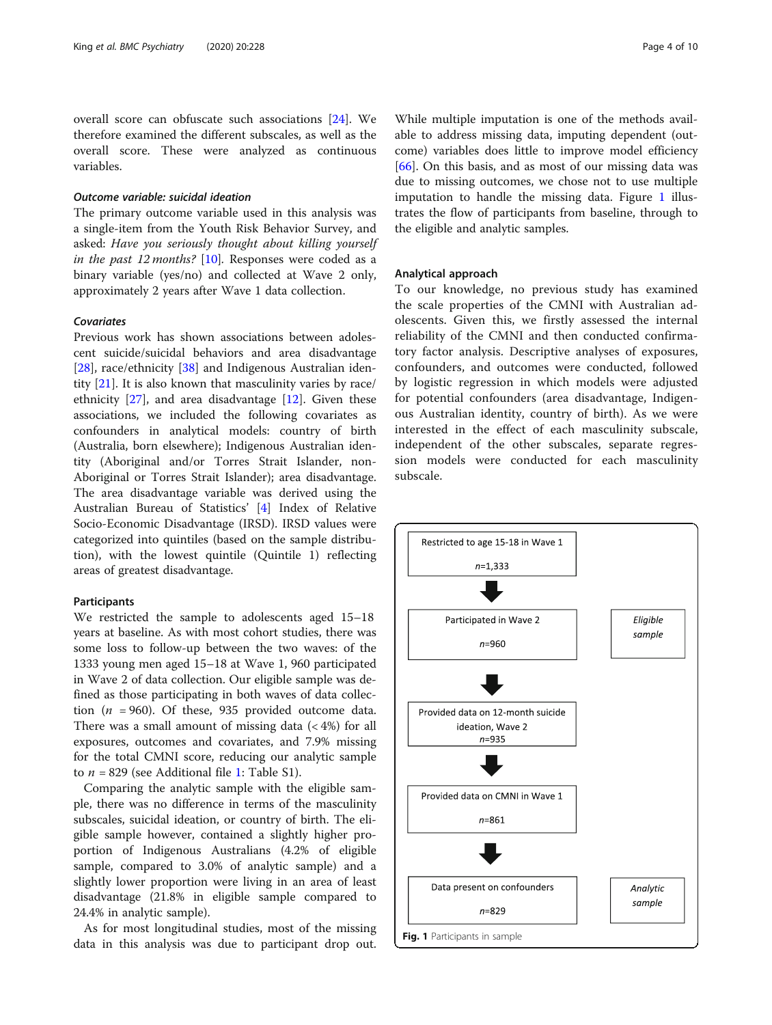overall score can obfuscate such associations [\[24](#page-8-0)]. We therefore examined the different subscales, as well as the overall score. These were analyzed as continuous variables.

#### Outcome variable: suicidal ideation

The primary outcome variable used in this analysis was a single-item from the Youth Risk Behavior Survey, and asked: Have you seriously thought about killing yourself in the past 12 months? [\[10\]](#page-8-0). Responses were coded as a binary variable (yes/no) and collected at Wave 2 only, approximately 2 years after Wave 1 data collection.

#### Covariates

Previous work has shown associations between adolescent suicide/suicidal behaviors and area disadvantage [[28\]](#page-8-0), race/ethnicity [[38](#page-9-0)] and Indigenous Australian identity [\[21\]](#page-8-0). It is also known that masculinity varies by race/ ethnicity  $[27]$  $[27]$ , and area disadvantage  $[12]$  $[12]$ . Given these associations, we included the following covariates as confounders in analytical models: country of birth (Australia, born elsewhere); Indigenous Australian identity (Aboriginal and/or Torres Strait Islander, non-Aboriginal or Torres Strait Islander); area disadvantage. The area disadvantage variable was derived using the Australian Bureau of Statistics' [\[4](#page-8-0)] Index of Relative Socio-Economic Disadvantage (IRSD). IRSD values were categorized into quintiles (based on the sample distribution), with the lowest quintile (Quintile 1) reflecting areas of greatest disadvantage.

#### Participants

We restricted the sample to adolescents aged 15–18 years at baseline. As with most cohort studies, there was some loss to follow-up between the two waves: of the 1333 young men aged 15–18 at Wave 1, 960 participated in Wave 2 of data collection. Our eligible sample was defined as those participating in both waves of data collection ( $n = 960$ ). Of these, 935 provided outcome data. There was a small amount of missing data  $(< 4\%)$  for all exposures, outcomes and covariates, and 7.9% missing for the total CMNI score, reducing our analytic sample to  $n = 829$  (see Additional file [1:](#page-7-0) Table S1).

Comparing the analytic sample with the eligible sample, there was no difference in terms of the masculinity subscales, suicidal ideation, or country of birth. The eligible sample however, contained a slightly higher proportion of Indigenous Australians (4.2% of eligible sample, compared to 3.0% of analytic sample) and a slightly lower proportion were living in an area of least disadvantage (21.8% in eligible sample compared to 24.4% in analytic sample).

As for most longitudinal studies, most of the missing data in this analysis was due to participant drop out.

While multiple imputation is one of the methods available to address missing data, imputing dependent (outcome) variables does little to improve model efficiency [[66\]](#page-9-0). On this basis, and as most of our missing data was due to missing outcomes, we chose not to use multiple imputation to handle the missing data. Figure 1 illustrates the flow of participants from baseline, through to the eligible and analytic samples.

#### Analytical approach

To our knowledge, no previous study has examined the scale properties of the CMNI with Australian adolescents. Given this, we firstly assessed the internal reliability of the CMNI and then conducted confirmatory factor analysis. Descriptive analyses of exposures, confounders, and outcomes were conducted, followed by logistic regression in which models were adjusted for potential confounders (area disadvantage, Indigenous Australian identity, country of birth). As we were interested in the effect of each masculinity subscale, independent of the other subscales, separate regression models were conducted for each masculinity subscale.

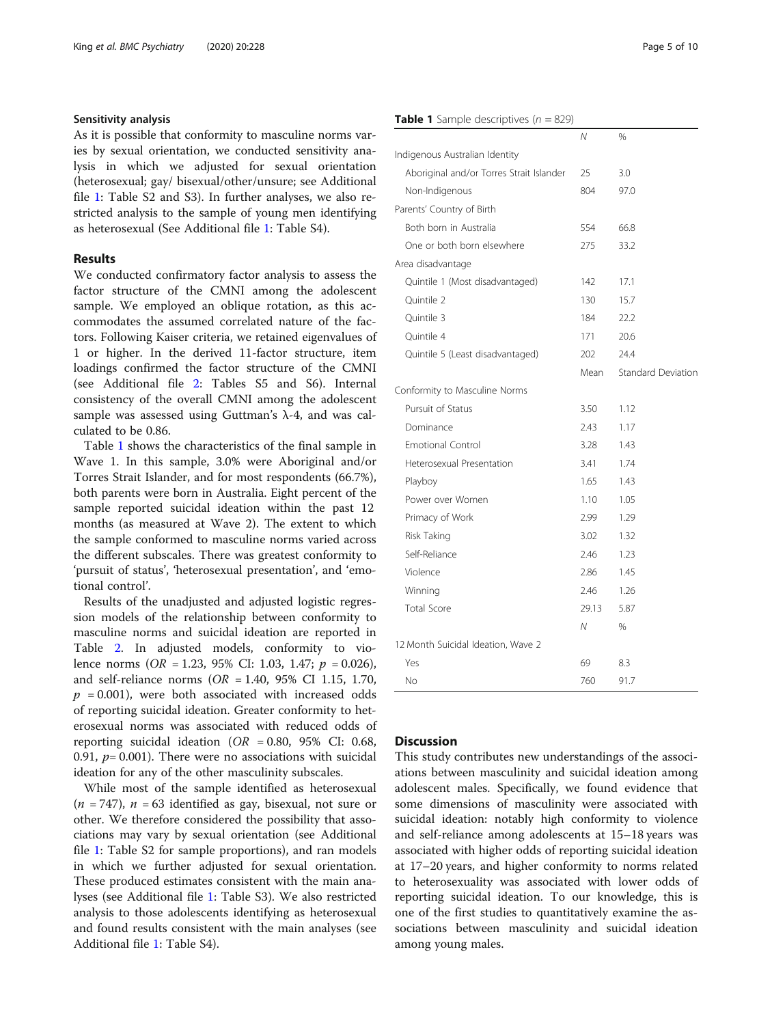#### Sensitivity analysis

As it is possible that conformity to masculine norms varies by sexual orientation, we conducted sensitivity analysis in which we adjusted for sexual orientation (heterosexual; gay/ bisexual/other/unsure; see Additional file [1:](#page-7-0) Table S2 and S3). In further analyses, we also restricted analysis to the sample of young men identifying as heterosexual (See Additional file [1](#page-7-0): Table S4).

#### Results

We conducted confirmatory factor analysis to assess the factor structure of the CMNI among the adolescent sample. We employed an oblique rotation, as this accommodates the assumed correlated nature of the factors. Following Kaiser criteria, we retained eigenvalues of 1 or higher. In the derived 11-factor structure, item loadings confirmed the factor structure of the CMNI (see Additional file [2:](#page-7-0) Tables S5 and S6). Internal consistency of the overall CMNI among the adolescent sample was assessed using Guttman's  $\lambda$ -4, and was calculated to be 0.86.

Table 1 shows the characteristics of the final sample in Wave 1. In this sample, 3.0% were Aboriginal and/or Torres Strait Islander, and for most respondents (66.7%), both parents were born in Australia. Eight percent of the sample reported suicidal ideation within the past 12 months (as measured at Wave 2). The extent to which the sample conformed to masculine norms varied across the different subscales. There was greatest conformity to 'pursuit of status', 'heterosexual presentation', and 'emotional control'.

Results of the unadjusted and adjusted logistic regression models of the relationship between conformity to masculine norms and suicidal ideation are reported in Table [2](#page-5-0). In adjusted models, conformity to violence norms ( $OR = 1.23$ , 95% CI: 1.03, 1.47;  $p = 0.026$ ), and self-reliance norms ( $OR = 1.40$ , 95% CI 1.15, 1.70,  $p = 0.001$ , were both associated with increased odds of reporting suicidal ideation. Greater conformity to heterosexual norms was associated with reduced odds of reporting suicidal ideation  $(OR = 0.80, 95\% \text{ CI: } 0.68,$ 0.91,  $p = 0.001$ ). There were no associations with suicidal ideation for any of the other masculinity subscales.

While most of the sample identified as heterosexual  $(n = 747)$ ,  $n = 63$  identified as gay, bisexual, not sure or other. We therefore considered the possibility that associations may vary by sexual orientation (see Additional file [1](#page-7-0): Table S2 for sample proportions), and ran models in which we further adjusted for sexual orientation. These produced estimates consistent with the main analyses (see Additional file [1](#page-7-0): Table S3). We also restricted analysis to those adolescents identifying as heterosexual and found results consistent with the main analyses (see Additional file [1](#page-7-0): Table S4).

#### **Table 1** Sample descriptives ( $n = 829$ )

|                                          | Ν     | %                         |
|------------------------------------------|-------|---------------------------|
| Indigenous Australian Identity           |       |                           |
| Aboriginal and/or Torres Strait Islander | 25    | 3.0                       |
| Non-Indigenous                           | 804   | 97.0                      |
| Parents' Country of Birth                |       |                           |
| Both born in Australia                   | 554   | 66.8                      |
| One or both born elsewhere               | 275   | 33.2                      |
| Area disadvantage                        |       |                           |
| Quintile 1 (Most disadvantaged)          | 142   | 17.1                      |
| Ouintile 2                               | 130   | 15.7                      |
| Ouintile 3                               | 184   | 22.2                      |
| Ouintile 4                               | 171   | 20.6                      |
| Quintile 5 (Least disadvantaged)         | 202   | 24.4                      |
|                                          | Mean  | <b>Standard Deviation</b> |
| Conformity to Masculine Norms            |       |                           |
| Pursuit of Status                        | 3.50  | 1.12                      |
| Dominance                                | 2.43  | 1.17                      |
| <b>Emotional Control</b>                 | 3.28  | 1.43                      |
| Heterosexual Presentation                | 3.41  | 1.74                      |
| Playboy                                  | 1.65  | 1.43                      |
| Power over Women                         | 1.10  | 1.05                      |
| Primacy of Work                          | 2.99  | 1.29                      |
| Risk Taking                              | 3.02  | 1.32                      |
| Self-Reliance                            | 2.46  | 1.23                      |
| Violence                                 | 2.86  | 1.45                      |
| Winning                                  | 2.46  | 1.26                      |
| <b>Total Score</b>                       | 29.13 | 5.87                      |
|                                          | N     | %                         |
| 12 Month Suicidal Ideation, Wave 2       |       |                           |
| Yes                                      | 69    | 8.3                       |
| No                                       | 760   | 91.7                      |

#### **Discussion**

This study contributes new understandings of the associations between masculinity and suicidal ideation among adolescent males. Specifically, we found evidence that some dimensions of masculinity were associated with suicidal ideation: notably high conformity to violence and self-reliance among adolescents at 15–18 years was associated with higher odds of reporting suicidal ideation at 17–20 years, and higher conformity to norms related to heterosexuality was associated with lower odds of reporting suicidal ideation. To our knowledge, this is one of the first studies to quantitatively examine the associations between masculinity and suicidal ideation among young males.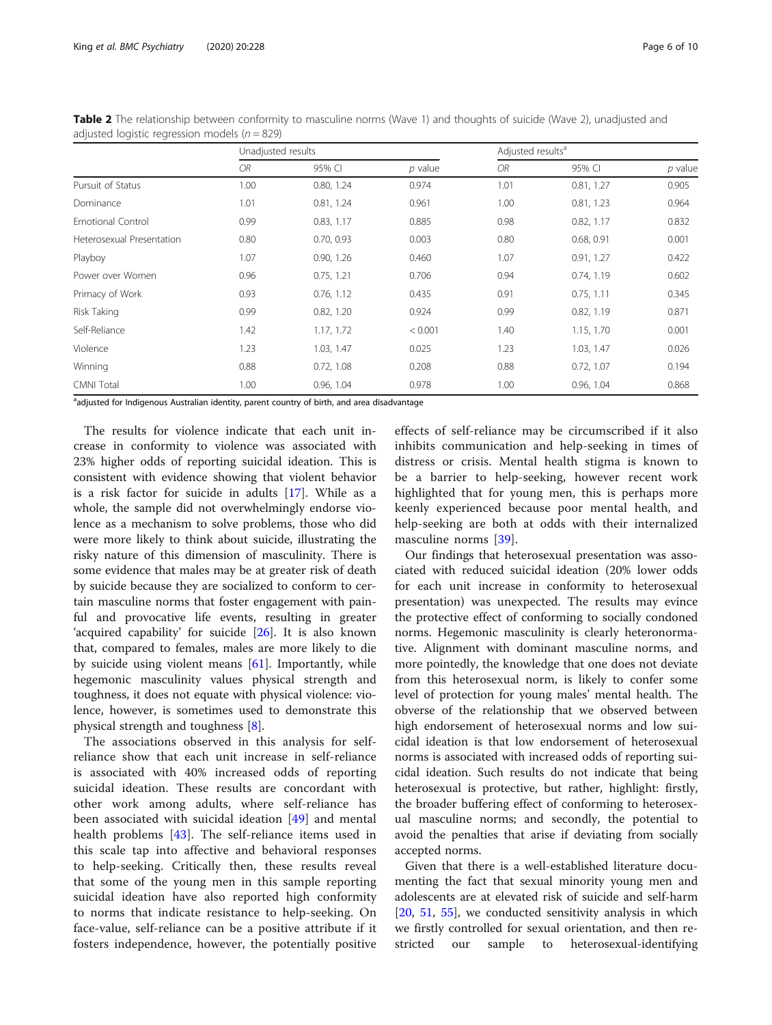|                           | Unadjusted results |            |           | Adjusted results <sup>a</sup> |            |         |
|---------------------------|--------------------|------------|-----------|-------------------------------|------------|---------|
|                           | <b>OR</b>          | 95% CI     | $p$ value | OR                            | 95% CI     | p value |
| Pursuit of Status         | 1.00               | 0.80, 1.24 | 0.974     | 1.01                          | 0.81, 1.27 | 0.905   |
| Dominance                 | 1.01               | 0.81, 1.24 | 0.961     | 1.00                          | 0.81, 1.23 | 0.964   |
| <b>Emotional Control</b>  | 0.99               | 0.83, 1.17 | 0.885     | 0.98                          | 0.82, 1.17 | 0.832   |
| Heterosexual Presentation | 0.80               | 0.70, 0.93 | 0.003     | 0.80                          | 0.68, 0.91 | 0.001   |
| Playboy                   | 1.07               | 0.90, 1.26 | 0.460     | 1.07                          | 0.91, 1.27 | 0.422   |
| Power over Women          | 0.96               | 0.75, 1.21 | 0.706     | 0.94                          | 0.74, 1.19 | 0.602   |
| Primacy of Work           | 0.93               | 0.76, 1.12 | 0.435     | 0.91                          | 0.75, 1.11 | 0.345   |
| Risk Taking               | 0.99               | 0.82, 1.20 | 0.924     | 0.99                          | 0.82, 1.19 | 0.871   |
| Self-Reliance             | 1.42               | 1.17, 1.72 | < 0.001   | 1.40                          | 1.15, 1.70 | 0.001   |
| Violence                  | 1.23               | 1.03, 1.47 | 0.025     | 1.23                          | 1.03, 1.47 | 0.026   |
| Winning                   | 0.88               | 0.72, 1.08 | 0.208     | 0.88                          | 0.72, 1.07 | 0.194   |
| <b>CMNI Total</b>         | 1.00               | 0.96, 1.04 | 0.978     | 1.00                          | 0.96, 1.04 | 0.868   |

<span id="page-5-0"></span>Table 2 The relationship between conformity to masculine norms (Wave 1) and thoughts of suicide (Wave 2), unadjusted and adjusted logistic regression models ( $n = 829$ )

<sup>a</sup>adjusted for Indigenous Australian identity, parent country of birth, and area disadvantage

The results for violence indicate that each unit increase in conformity to violence was associated with 23% higher odds of reporting suicidal ideation. This is consistent with evidence showing that violent behavior is a risk factor for suicide in adults [[17](#page-8-0)]. While as a whole, the sample did not overwhelmingly endorse violence as a mechanism to solve problems, those who did were more likely to think about suicide, illustrating the risky nature of this dimension of masculinity. There is some evidence that males may be at greater risk of death by suicide because they are socialized to conform to certain masculine norms that foster engagement with painful and provocative life events, resulting in greater 'acquired capability' for suicide [\[26](#page-8-0)]. It is also known that, compared to females, males are more likely to die by suicide using violent means [[61](#page-9-0)]. Importantly, while hegemonic masculinity values physical strength and toughness, it does not equate with physical violence: violence, however, is sometimes used to demonstrate this physical strength and toughness [[8\]](#page-8-0).

The associations observed in this analysis for selfreliance show that each unit increase in self-reliance is associated with 40% increased odds of reporting suicidal ideation. These results are concordant with other work among adults, where self-reliance has been associated with suicidal ideation [\[49](#page-9-0)] and mental health problems [\[43](#page-9-0)]. The self-reliance items used in this scale tap into affective and behavioral responses to help-seeking. Critically then, these results reveal that some of the young men in this sample reporting suicidal ideation have also reported high conformity to norms that indicate resistance to help-seeking. On face-value, self-reliance can be a positive attribute if it fosters independence, however, the potentially positive

effects of self-reliance may be circumscribed if it also inhibits communication and help-seeking in times of distress or crisis. Mental health stigma is known to be a barrier to help-seeking, however recent work highlighted that for young men, this is perhaps more keenly experienced because poor mental health, and help-seeking are both at odds with their internalized masculine norms [\[39](#page-9-0)].

Our findings that heterosexual presentation was associated with reduced suicidal ideation (20% lower odds for each unit increase in conformity to heterosexual presentation) was unexpected. The results may evince the protective effect of conforming to socially condoned norms. Hegemonic masculinity is clearly heteronormative. Alignment with dominant masculine norms, and more pointedly, the knowledge that one does not deviate from this heterosexual norm, is likely to confer some level of protection for young males' mental health. The obverse of the relationship that we observed between high endorsement of heterosexual norms and low suicidal ideation is that low endorsement of heterosexual norms is associated with increased odds of reporting suicidal ideation. Such results do not indicate that being heterosexual is protective, but rather, highlight: firstly, the broader buffering effect of conforming to heterosexual masculine norms; and secondly, the potential to avoid the penalties that arise if deviating from socially accepted norms.

Given that there is a well-established literature documenting the fact that sexual minority young men and adolescents are at elevated risk of suicide and self-harm [[20,](#page-8-0) [51,](#page-9-0) [55](#page-9-0)], we conducted sensitivity analysis in which we firstly controlled for sexual orientation, and then restricted our sample to heterosexual-identifying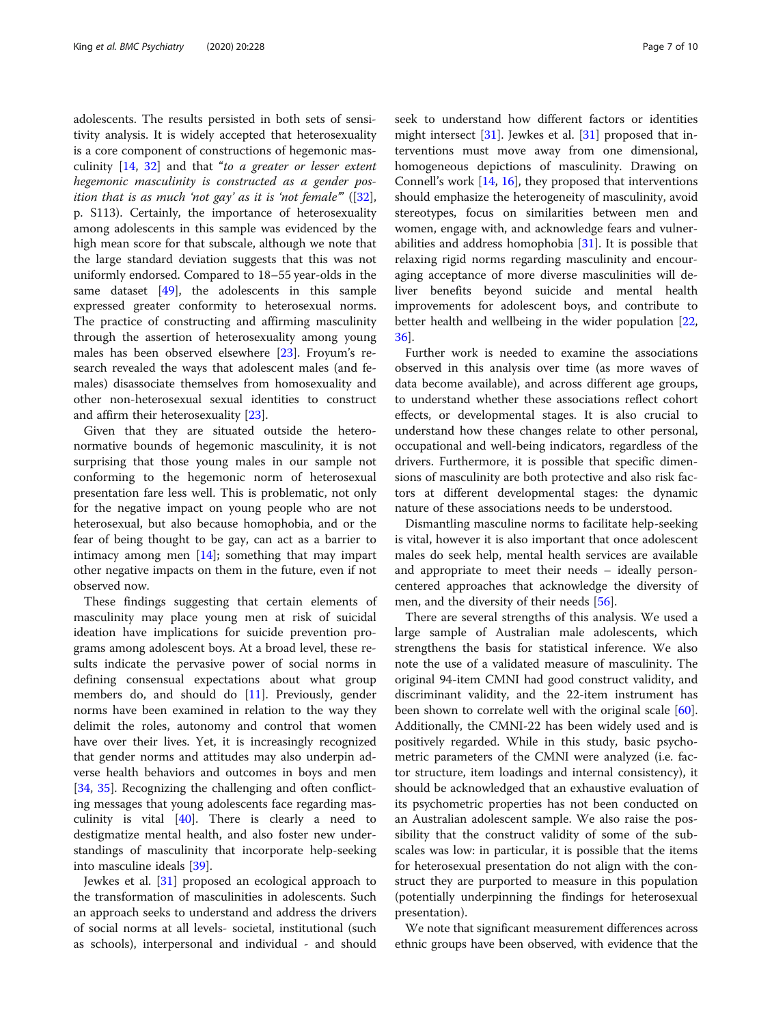adolescents. The results persisted in both sets of sensitivity analysis. It is widely accepted that heterosexuality is a core component of constructions of hegemonic masculinity  $[14, 32]$  $[14, 32]$  $[14, 32]$  $[14, 32]$  $[14, 32]$  and that "to a greater or lesser extent" hegemonic masculinity is constructed as a gender position that is as much 'not gay' as it is 'not female"  $(32)$ , p. S113). Certainly, the importance of heterosexuality among adolescents in this sample was evidenced by the high mean score for that subscale, although we note that the large standard deviation suggests that this was not uniformly endorsed. Compared to 18–55 year-olds in the same dataset  $[49]$  $[49]$ , the adolescents in this sample expressed greater conformity to heterosexual norms. The practice of constructing and affirming masculinity through the assertion of heterosexuality among young males has been observed elsewhere [\[23](#page-8-0)]. Froyum's research revealed the ways that adolescent males (and females) disassociate themselves from homosexuality and other non-heterosexual sexual identities to construct and affirm their heterosexuality [[23\]](#page-8-0).

Given that they are situated outside the heteronormative bounds of hegemonic masculinity, it is not surprising that those young males in our sample not conforming to the hegemonic norm of heterosexual presentation fare less well. This is problematic, not only for the negative impact on young people who are not heterosexual, but also because homophobia, and or the fear of being thought to be gay, can act as a barrier to intimacy among men [\[14](#page-8-0)]; something that may impart other negative impacts on them in the future, even if not observed now.

These findings suggesting that certain elements of masculinity may place young men at risk of suicidal ideation have implications for suicide prevention programs among adolescent boys. At a broad level, these results indicate the pervasive power of social norms in defining consensual expectations about what group members do, and should do [[11\]](#page-8-0). Previously, gender norms have been examined in relation to the way they delimit the roles, autonomy and control that women have over their lives. Yet, it is increasingly recognized that gender norms and attitudes may also underpin adverse health behaviors and outcomes in boys and men [[34,](#page-9-0) [35](#page-9-0)]. Recognizing the challenging and often conflicting messages that young adolescents face regarding masculinity is vital  $[40]$  $[40]$ . There is clearly a need to destigmatize mental health, and also foster new understandings of masculinity that incorporate help-seeking into masculine ideals [[39\]](#page-9-0).

Jewkes et al. [[31\]](#page-8-0) proposed an ecological approach to the transformation of masculinities in adolescents. Such an approach seeks to understand and address the drivers of social norms at all levels- societal, institutional (such as schools), interpersonal and individual - and should seek to understand how different factors or identities might intersect [[31\]](#page-8-0). Jewkes et al. [[31\]](#page-8-0) proposed that interventions must move away from one dimensional, homogeneous depictions of masculinity. Drawing on Connell's work [\[14,](#page-8-0) [16\]](#page-8-0), they proposed that interventions should emphasize the heterogeneity of masculinity, avoid stereotypes, focus on similarities between men and women, engage with, and acknowledge fears and vulnerabilities and address homophobia [[31\]](#page-8-0). It is possible that relaxing rigid norms regarding masculinity and encouraging acceptance of more diverse masculinities will deliver benefits beyond suicide and mental health improvements for adolescent boys, and contribute to better health and wellbeing in the wider population [[22](#page-8-0), [36\]](#page-9-0).

Further work is needed to examine the associations observed in this analysis over time (as more waves of data become available), and across different age groups, to understand whether these associations reflect cohort effects, or developmental stages. It is also crucial to understand how these changes relate to other personal, occupational and well-being indicators, regardless of the drivers. Furthermore, it is possible that specific dimensions of masculinity are both protective and also risk factors at different developmental stages: the dynamic nature of these associations needs to be understood.

Dismantling masculine norms to facilitate help-seeking is vital, however it is also important that once adolescent males do seek help, mental health services are available and appropriate to meet their needs – ideally personcentered approaches that acknowledge the diversity of men, and the diversity of their needs [\[56\]](#page-9-0).

There are several strengths of this analysis. We used a large sample of Australian male adolescents, which strengthens the basis for statistical inference. We also note the use of a validated measure of masculinity. The original 94-item CMNI had good construct validity, and discriminant validity, and the 22-item instrument has been shown to correlate well with the original scale [\[60](#page-9-0)]. Additionally, the CMNI-22 has been widely used and is positively regarded. While in this study, basic psychometric parameters of the CMNI were analyzed (i.e. factor structure, item loadings and internal consistency), it should be acknowledged that an exhaustive evaluation of its psychometric properties has not been conducted on an Australian adolescent sample. We also raise the possibility that the construct validity of some of the subscales was low: in particular, it is possible that the items for heterosexual presentation do not align with the construct they are purported to measure in this population (potentially underpinning the findings for heterosexual presentation).

We note that significant measurement differences across ethnic groups have been observed, with evidence that the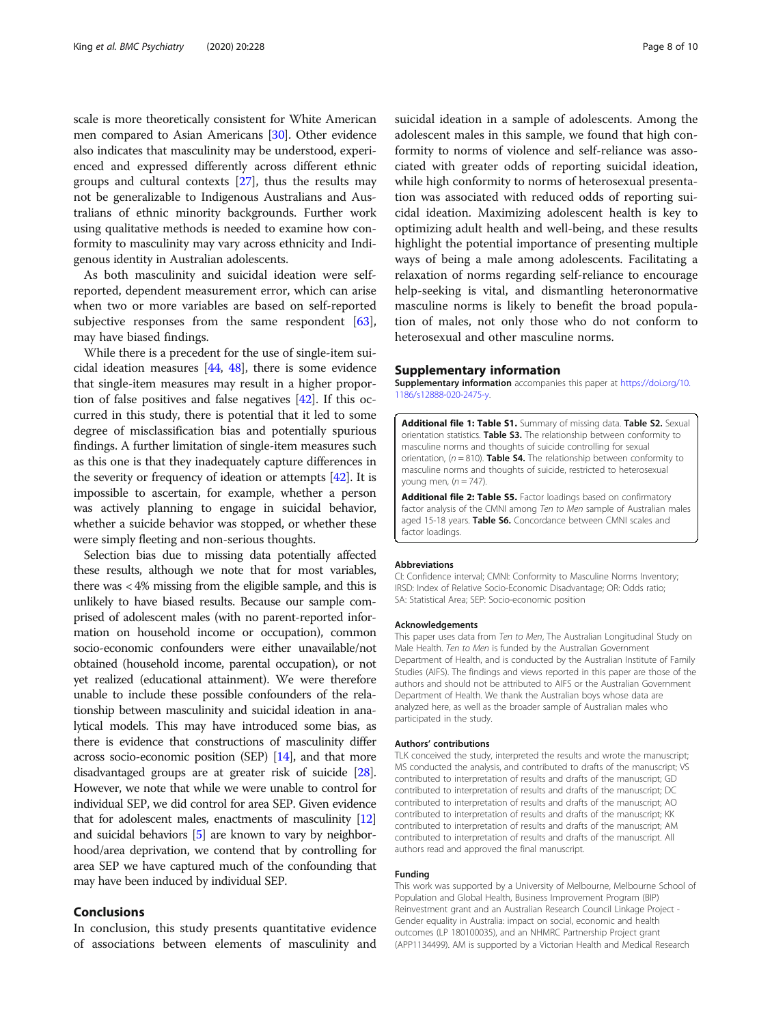<span id="page-7-0"></span>scale is more theoretically consistent for White American men compared to Asian Americans [[30](#page-8-0)]. Other evidence also indicates that masculinity may be understood, experienced and expressed differently across different ethnic groups and cultural contexts [[27](#page-8-0)], thus the results may not be generalizable to Indigenous Australians and Australians of ethnic minority backgrounds. Further work using qualitative methods is needed to examine how conformity to masculinity may vary across ethnicity and Indigenous identity in Australian adolescents.

As both masculinity and suicidal ideation were selfreported, dependent measurement error, which can arise when two or more variables are based on self-reported subjective responses from the same respondent [\[63](#page-9-0)], may have biased findings.

While there is a precedent for the use of single-item suicidal ideation measures [\[44](#page-9-0), [48](#page-9-0)], there is some evidence that single-item measures may result in a higher proportion of false positives and false negatives [\[42\]](#page-9-0). If this occurred in this study, there is potential that it led to some degree of misclassification bias and potentially spurious findings. A further limitation of single-item measures such as this one is that they inadequately capture differences in the severity or frequency of ideation or attempts  $[42]$ . It is impossible to ascertain, for example, whether a person was actively planning to engage in suicidal behavior, whether a suicide behavior was stopped, or whether these were simply fleeting and non-serious thoughts.

Selection bias due to missing data potentially affected these results, although we note that for most variables, there was < 4% missing from the eligible sample, and this is unlikely to have biased results. Because our sample comprised of adolescent males (with no parent-reported information on household income or occupation), common socio-economic confounders were either unavailable/not obtained (household income, parental occupation), or not yet realized (educational attainment). We were therefore unable to include these possible confounders of the relationship between masculinity and suicidal ideation in analytical models. This may have introduced some bias, as there is evidence that constructions of masculinity differ across socio-economic position (SEP) [[14](#page-8-0)], and that more disadvantaged groups are at greater risk of suicide [\[28](#page-8-0)]. However, we note that while we were unable to control for individual SEP, we did control for area SEP. Given evidence that for adolescent males, enactments of masculinity [\[12](#page-8-0)] and suicidal behaviors [\[5\]](#page-8-0) are known to vary by neighborhood/area deprivation, we contend that by controlling for area SEP we have captured much of the confounding that may have been induced by individual SEP.

#### Conclusions

In conclusion, this study presents quantitative evidence of associations between elements of masculinity and suicidal ideation in a sample of adolescents. Among the adolescent males in this sample, we found that high conformity to norms of violence and self-reliance was associated with greater odds of reporting suicidal ideation, while high conformity to norms of heterosexual presentation was associated with reduced odds of reporting suicidal ideation. Maximizing adolescent health is key to optimizing adult health and well-being, and these results highlight the potential importance of presenting multiple ways of being a male among adolescents. Facilitating a relaxation of norms regarding self-reliance to encourage help-seeking is vital, and dismantling heteronormative masculine norms is likely to benefit the broad population of males, not only those who do not conform to heterosexual and other masculine norms.

#### Supplementary information

Supplementary information accompanies this paper at [https://doi.org/10.](https://doi.org/10.1186/s12888-020-2475-y) [1186/s12888-020-2475-y](https://doi.org/10.1186/s12888-020-2475-y).

Additional file 1: Table S1. Summary of missing data. Table S2. Sexual orientation statistics. Table S3. The relationship between conformity to masculine norms and thoughts of suicide controlling for sexual orientation, ( $n = 810$ ). Table S4. The relationship between conformity to masculine norms and thoughts of suicide, restricted to heterosexual young men,  $(n = 747)$ .

Additional file 2: Table S5. Factor loadings based on confirmatory factor analysis of the CMNI among Ten to Men sample of Australian males aged 15-18 years. Table S6. Concordance between CMNI scales and factor loadings.

#### Abbreviations

CI: Confidence interval; CMNI: Conformity to Masculine Norms Inventory; IRSD: Index of Relative Socio-Economic Disadvantage; OR: Odds ratio; SA: Statistical Area; SEP: Socio-economic position

#### Acknowledgements

This paper uses data from Ten to Men, The Australian Longitudinal Study on Male Health. Ten to Men is funded by the Australian Government Department of Health, and is conducted by the Australian Institute of Family Studies (AIFS). The findings and views reported in this paper are those of the authors and should not be attributed to AIFS or the Australian Government Department of Health. We thank the Australian boys whose data are analyzed here, as well as the broader sample of Australian males who participated in the study.

#### Authors' contributions

TLK conceived the study, interpreted the results and wrote the manuscript; MS conducted the analysis, and contributed to drafts of the manuscript; VS contributed to interpretation of results and drafts of the manuscript; GD contributed to interpretation of results and drafts of the manuscript; DC contributed to interpretation of results and drafts of the manuscript; AO contributed to interpretation of results and drafts of the manuscript; KK contributed to interpretation of results and drafts of the manuscript; AM contributed to interpretation of results and drafts of the manuscript. All authors read and approved the final manuscript.

#### Funding

This work was supported by a University of Melbourne, Melbourne School of Population and Global Health, Business Improvement Program (BIP) Reinvestment grant and an Australian Research Council Linkage Project - Gender equality in Australia: impact on social, economic and health outcomes (LP 180100035), and an NHMRC Partnership Project grant (APP1134499). AM is supported by a Victorian Health and Medical Research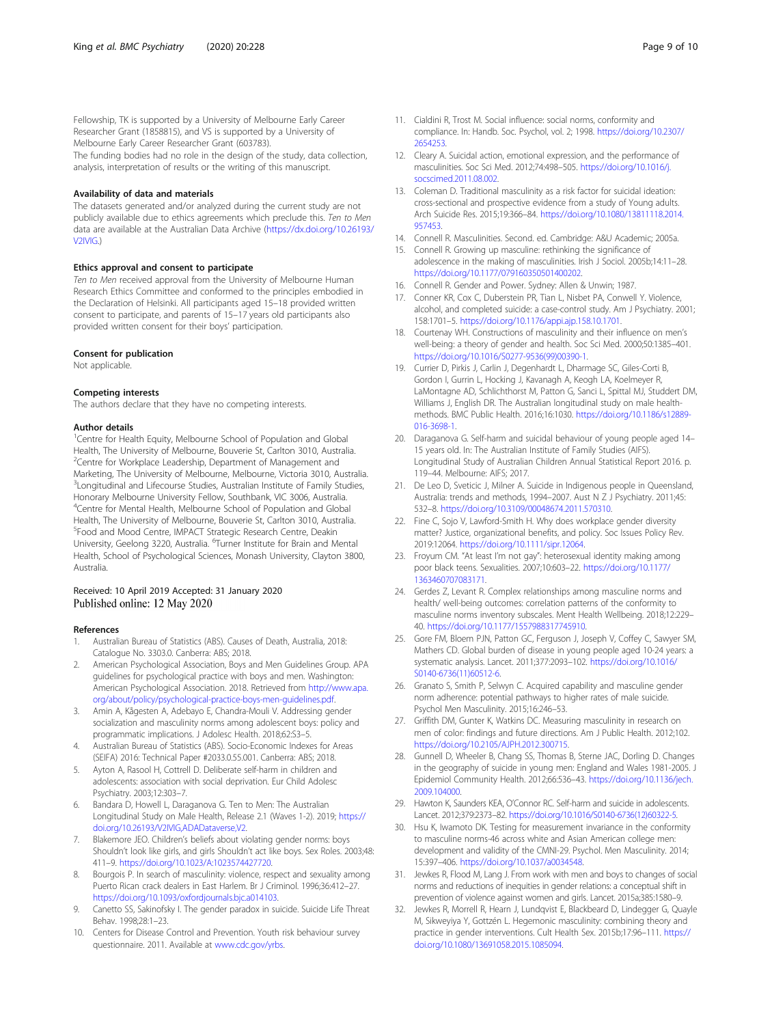<span id="page-8-0"></span>Fellowship, TK is supported by a University of Melbourne Early Career Researcher Grant (1858815), and VS is supported by a University of Melbourne Early Career Researcher Grant (603783). The funding bodies had no role in the design of the study, data collection, analysis, interpretation of results or the writing of this manuscript.

#### Availability of data and materials

The datasets generated and/or analyzed during the current study are not publicly available due to ethics agreements which preclude this. Ten to Men data are available at the Australian Data Archive ([https://dx.doi.org/10.26193/](https://dx.doi.org/10.26193/V2IVIG) [V2IVIG.](https://dx.doi.org/10.26193/V2IVIG))

#### Ethics approval and consent to participate

Ten to Men received approval from the University of Melbourne Human Research Ethics Committee and conformed to the principles embodied in the Declaration of Helsinki. All participants aged 15–18 provided written consent to participate, and parents of 15–17 years old participants also provided written consent for their boys' participation.

#### Consent for publication

Not applicable.

#### Competing interests

The authors declare that they have no competing interests.

#### Author details

<sup>1</sup> Centre for Health Equity, Melbourne School of Population and Global Health, The University of Melbourne, Bouverie St, Carlton 3010, Australia. <sup>2</sup> Centre for Workplace Leadership, Department of Management and Marketing, The University of Melbourne, Melbourne, Victoria 3010, Australia. <sup>3</sup> Longitudinal and Lifecourse Studies, Australian Institute of Family Studies, Honorary Melbourne University Fellow, Southbank, VIC 3006, Australia. 4 Centre for Mental Health, Melbourne School of Population and Global Health, The University of Melbourne, Bouverie St, Carlton 3010, Australia. 5 Food and Mood Centre, IMPACT Strategic Research Centre, Deakin University, Geelong 3220, Australia. <sup>6</sup>Turner Institute for Brain and Mental Health, School of Psychological Sciences, Monash University, Clayton 3800, Australia.

#### Received: 10 April 2019 Accepted: 31 January 2020 Published online: 12 May 2020

#### References

- 1. Australian Bureau of Statistics (ABS). Causes of Death, Australia, 2018: Catalogue No. 3303.0. Canberra: ABS; 2018.
- 2. American Psychological Association, Boys and Men Guidelines Group. APA guidelines for psychological practice with boys and men. Washington: American Psychological Association. 2018. Retrieved from [http://www.apa.](http://www.apa.org/about/policy/psychological-practice-boys-men-guidelines.pdf) [org/about/policy/psychological-practice-boys-men-guidelines.pdf.](http://www.apa.org/about/policy/psychological-practice-boys-men-guidelines.pdf)
- 3. Amin A, Kågesten A, Adebayo E, Chandra-Mouli V. Addressing gender socialization and masculinity norms among adolescent boys: policy and programmatic implications. J Adolesc Health. 2018;62:S3–5.
- 4. Australian Bureau of Statistics (ABS). Socio-Economic Indexes for Areas (SEIFA) 2016: Technical Paper #2033.0.55.001. Canberra: ABS; 2018.
- 5. Ayton A, Rasool H, Cottrell D. Deliberate self-harm in children and adolescents: association with social deprivation. Eur Child Adolesc Psychiatry. 2003;12:303–7.
- 6. Bandara D, Howell L, Daraganova G. Ten to Men: The Australian Longitudinal Study on Male Health, Release 2.1 (Waves 1-2). 2019; [https://](https://doi.org/10.26193/V2IVIG,ADADataverse,V2) [doi.org/10.26193/V2IVIG,ADADataverse,V2.](https://doi.org/10.26193/V2IVIG,ADADataverse,V2)
- Blakemore JEO. Children's beliefs about violating gender norms: boys Shouldn't look like girls, and girls Shouldn't act like boys. Sex Roles. 2003;48: 411–9. <https://doi.org/10.1023/A:1023574427720>.
- 8. Bourgois P. In search of masculinity: violence, respect and sexuality among Puerto Rican crack dealers in East Harlem. Br J Criminol. 1996;36:412–27. [https://doi.org/10.1093/oxfordjournals.bjc.a014103.](https://doi.org/10.1093/oxfordjournals.bjc.a014103)
- Canetto SS, Sakinofsky I. The gender paradox in suicide. Suicide Life Threat Behav. 1998;28:1–23.
- 10. Centers for Disease Control and Prevention. Youth risk behaviour survey questionnaire. 2011. Available at [www.cdc.gov/yrbs.](https://www.cdc.gov/yrbs)
- 11. Cialdini R, Trost M. Social influence: social norms, conformity and compliance. In: Handb. Soc. Psychol, vol. 2; 1998. [https://doi.org/10.2307/](https://doi.org/10.2307/2654253) [2654253.](https://doi.org/10.2307/2654253)
- 12. Cleary A. Suicidal action, emotional expression, and the performance of masculinities. Soc Sci Med. 2012;74:498–505. [https://doi.org/10.1016/j.](https://doi.org/10.1016/j.socscimed.2011.08.002) [socscimed.2011.08.002.](https://doi.org/10.1016/j.socscimed.2011.08.002)
- 13. Coleman D. Traditional masculinity as a risk factor for suicidal ideation: cross-sectional and prospective evidence from a study of Young adults. Arch Suicide Res. 2015;19:366–84. [https://doi.org/10.1080/13811118.2014.](https://doi.org/10.1080/13811118.2014.957453) [957453](https://doi.org/10.1080/13811118.2014.957453).
- 14. Connell R. Masculinities. Second. ed. Cambridge: A&U Academic; 2005a.
- 15. Connell R. Growing up masculine: rethinking the significance of adolescence in the making of masculinities. Irish J Sociol. 2005b;14:11–28. <https://doi.org/10.1177/079160350501400202>.
- 16. Connell R. Gender and Power. Sydney: Allen & Unwin; 1987.
- 17. Conner KR, Cox C, Duberstein PR, Tian L, Nisbet PA, Conwell Y. Violence, alcohol, and completed suicide: a case-control study. Am J Psychiatry. 2001; 158:1701–5. [https://doi.org/10.1176/appi.ajp.158.10.1701.](https://doi.org/10.1176/appi.ajp.158.10.1701)
- 18. Courtenay WH. Constructions of masculinity and their influence on men's well-being: a theory of gender and health. Soc Sci Med. 2000;50:1385–401. [https://doi.org/10.1016/S0277-9536\(99\)00390-1.](https://doi.org/10.1016/S0277-9536(99)00390-1)
- 19. Currier D, Pirkis J, Carlin J, Degenhardt L, Dharmage SC, Giles-Corti B, Gordon I, Gurrin L, Hocking J, Kavanagh A, Keogh LA, Koelmeyer R, LaMontagne AD, Schlichthorst M, Patton G, Sanci L, Spittal MJ, Studdert DM, Williams J, English DR. The Australian longitudinal study on male healthmethods. BMC Public Health. 2016;16:1030. [https://doi.org/10.1186/s12889-](https://doi.org/10.1186/s12889-016-3698-1) [016-3698-1](https://doi.org/10.1186/s12889-016-3698-1).
- 20. Daraganova G. Self-harm and suicidal behaviour of young people aged 14– 15 years old. In: The Australian Institute of Family Studies (AIFS). Longitudinal Study of Australian Children Annual Statistical Report 2016. p. 119–44. Melbourne: AIFS; 2017.
- 21. De Leo D, Sveticic J, Milner A. Suicide in Indigenous people in Queensland, Australia: trends and methods, 1994–2007. Aust N Z J Psychiatry. 2011;45: 532–8. <https://doi.org/10.3109/00048674.2011.570310>.
- 22. Fine C, Sojo V, Lawford-Smith H. Why does workplace gender diversity matter? Justice, organizational benefits, and policy. Soc Issues Policy Rev. 2019:12064. <https://doi.org/10.1111/sipr.12064>.
- 23. Froyum CM. "At least I'm not gay": heterosexual identity making among poor black teens. Sexualities. 2007;10:603–22. [https://doi.org/10.1177/](https://doi.org/10.1177/1363460707083171) [1363460707083171](https://doi.org/10.1177/1363460707083171).
- 24. Gerdes Z, Levant R. Complex relationships among masculine norms and health/ well-being outcomes: correlation patterns of the conformity to masculine norms inventory subscales. Ment Health Wellbeing. 2018;12:229– 40. [https://doi.org/10.1177/1557988317745910.](https://doi.org/10.1177/1557988317745910)
- 25. Gore FM, Bloem PJN, Patton GC, Ferguson J, Joseph V, Coffey C, Sawyer SM, Mathers CD. Global burden of disease in young people aged 10-24 years: a systematic analysis. Lancet. 2011;377:2093–102. [https://doi.org/10.1016/](https://doi.org/10.1016/S0140-6736(11)60512-6) [S0140-6736\(11\)60512-6](https://doi.org/10.1016/S0140-6736(11)60512-6).
- 26. Granato S, Smith P, Selwyn C. Acquired capability and masculine gender norm adherence: potential pathways to higher rates of male suicide. Psychol Men Masculinity. 2015;16:246–53.
- 27. Griffith DM, Gunter K, Watkins DC. Measuring masculinity in research on men of color: findings and future directions. Am J Public Health. 2012;102. <https://doi.org/10.2105/AJPH.2012.300715>.
- 28. Gunnell D, Wheeler B, Chang SS, Thomas B, Sterne JAC, Dorling D. Changes in the geography of suicide in young men: England and Wales 1981-2005. J Epidemiol Community Health. 2012;66:536–43. [https://doi.org/10.1136/jech.](https://doi.org/10.1136/jech.2009.104000) [2009.104000](https://doi.org/10.1136/jech.2009.104000).
- 29. Hawton K, Saunders KEA, O'Connor RC. Self-harm and suicide in adolescents. Lancet. 2012;379:2373–82. [https://doi.org/10.1016/S0140-6736\(12\)60322-5.](https://doi.org/10.1016/S0140-6736(12)60322-5)
- 30. Hsu K, Iwamoto DK. Testing for measurement invariance in the conformity to masculine norms-46 across white and Asian American college men: development and validity of the CMNI-29. Psychol. Men Masculinity. 2014; 15:397–406. <https://doi.org/10.1037/a0034548>.
- 31. Jewkes R, Flood M, Lang J. From work with men and boys to changes of social norms and reductions of inequities in gender relations: a conceptual shift in prevention of violence against women and girls. Lancet. 2015a;385:1580–9.
- 32. Jewkes R, Morrell R, Hearn J, Lundqvist E, Blackbeard D, Lindegger G, Quayle M, Sikweyiya Y, Gottzén L. Hegemonic masculinity: combining theory and practice in gender interventions. Cult Health Sex. 2015b;17:96–111. [https://](https://doi.org/10.1080/13691058.2015.1085094) [doi.org/10.1080/13691058.2015.1085094.](https://doi.org/10.1080/13691058.2015.1085094)